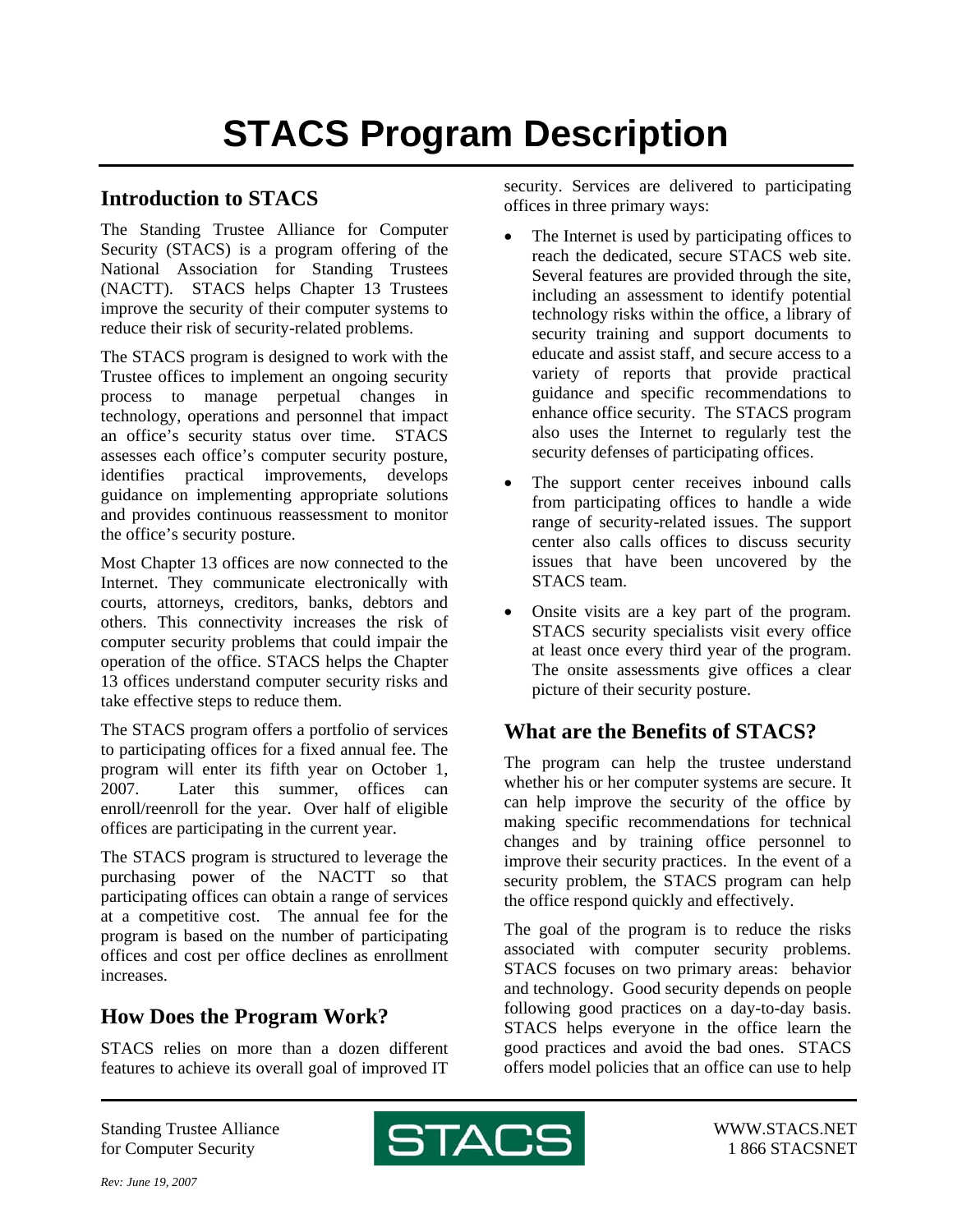## **STACS Program Description**

## **Introduction to STACS**

The Standing Trustee Alliance for Computer Security (STACS) is a program offering of the National Association for Standing Trustees (NACTT). STACS helps Chapter 13 Trustees improve the security of their computer systems to reduce their risk of security-related problems.

The STACS program is designed to work with the Trustee offices to implement an ongoing security process to manage perpetual changes in technology, operations and personnel that impact an office's security status over time. STACS assesses each office's computer security posture, identifies practical improvements, develops guidance on implementing appropriate solutions and provides continuous reassessment to monitor the office's security posture.

Most Chapter 13 offices are now connected to the Internet. They communicate electronically with courts, attorneys, creditors, banks, debtors and others. This connectivity increases the risk of computer security problems that could impair the operation of the office. STACS helps the Chapter 13 offices understand computer security risks and take effective steps to reduce them.

The STACS program offers a portfolio of services to participating offices for a fixed annual fee. The program will enter its fifth year on October 1, 2007. Later this summer, offices can enroll/reenroll for the year. Over half of eligible offices are participating in the current year.

The STACS program is structured to leverage the purchasing power of the NACTT so that participating offices can obtain a range of services at a competitive cost. The annual fee for the program is based on the number of participating offices and cost per office declines as enrollment increases.

## **How Does the Program Work?**

STACS relies on more than a dozen different features to achieve its overall goal of improved IT security. Services are delivered to participating offices in three primary ways:

- The Internet is used by participating offices to reach the dedicated, secure STACS web site. Several features are provided through the site, including an assessment to identify potential technology risks within the office, a library of security training and support documents to educate and assist staff, and secure access to a variety of reports that provide practical guidance and specific recommendations to enhance office security. The STACS program also uses the Internet to regularly test the security defenses of participating offices.
- The support center receives inbound calls from participating offices to handle a wide range of security-related issues. The support center also calls offices to discuss security issues that have been uncovered by the STACS team.
- Onsite visits are a key part of the program. STACS security specialists visit every office at least once every third year of the program. The onsite assessments give offices a clear picture of their security posture.

## **What are the Benefits of STACS?**

The program can help the trustee understand whether his or her computer systems are secure. It can help improve the security of the office by making specific recommendations for technical changes and by training office personnel to improve their security practices. In the event of a security problem, the STACS program can help the office respond quickly and effectively.

The goal of the program is to reduce the risks associated with computer security problems. STACS focuses on two primary areas: behavior and technology. Good security depends on people following good practices on a day-to-day basis. STACS helps everyone in the office learn the good practices and avoid the bad ones. STACS offers model policies that an office can use to help

Standing Trustee Alliance for Computer Security